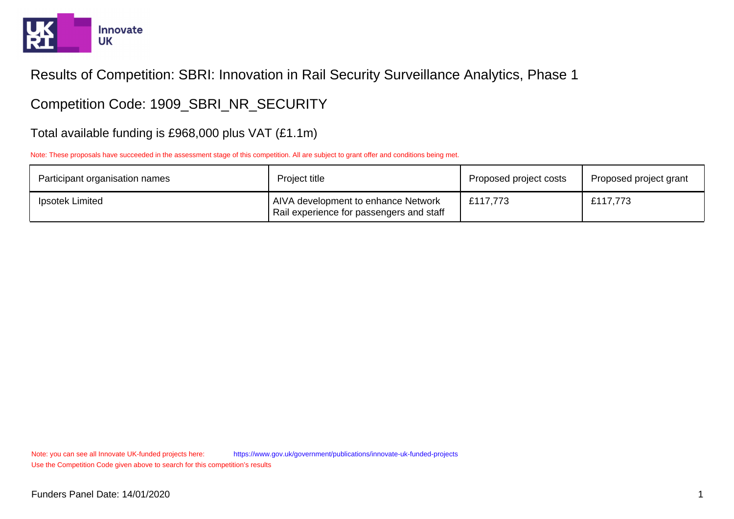

Competition Code: 1909\_SBRI\_NR\_SECURITY

Total available funding is £968,000 plus VAT (£1.1m)

Note: These proposals have succeeded in the assessment stage of this competition. All are subject to grant offer and conditions being met.

| Participant organisation names | Project title                                                                          | Proposed project costs | Proposed project grant |
|--------------------------------|----------------------------------------------------------------------------------------|------------------------|------------------------|
| Ipsotek Limited                | <b>AIVA development to enhance Network</b><br>Rail experience for passengers and staff | £117,773               | £117,773               |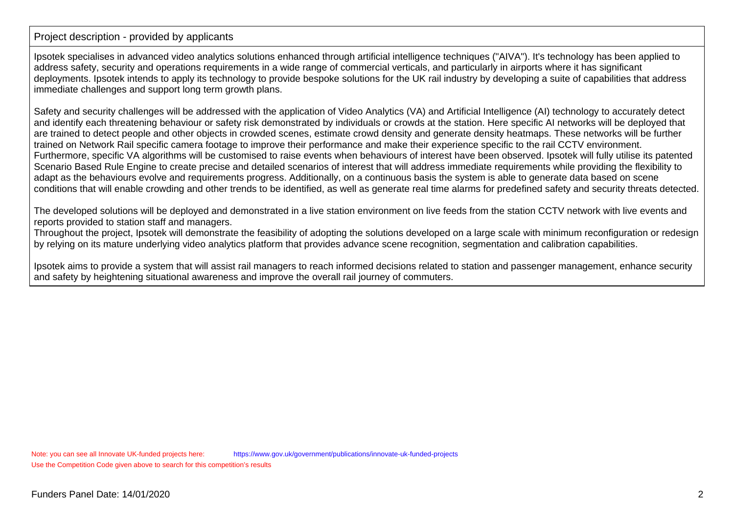Ipsotek specialises in advanced video analytics solutions enhanced through artificial intelligence techniques ("AIVA"). It's technology has been applied toaddress safety, security and operations requirements in a wide range of commercial verticals, and particularly in airports where it has significant deployments. Ipsotek intends to apply its technology to provide bespoke solutions for the UK rail industry by developing a suite of capabilities that addressimmediate challenges and support long term growth plans.

Safety and security challenges will be addressed with the application of Video Analytics (VA) and Artificial Intelligence (AI) technology to accurately detect and identify each threatening behaviour or safety risk demonstrated by individuals or crowds at the station. Here specific AI networks will be deployed that are trained to detect people and other objects in crowded scenes, estimate crowd density and generate density heatmaps. These networks will be furthertrained on Network Rail specific camera footage to improve their performance and make their experience specific to the rail CCTV environment. Furthermore, specific VA algorithms will be customised to raise events when behaviours of interest have been observed. Ipsotek will fully utilise its patentedScenario Based Rule Engine to create precise and detailed scenarios of interest that will address immediate requirements while providing the flexibility toadapt as the behaviours evolve and requirements progress. Additionally, on a continuous basis the system is able to generate data based on sceneconditions that will enable crowding and other trends to be identified, as well as generate real time alarms for predefined safety and security threats detected.

The developed solutions will be deployed and demonstrated in a live station environment on live feeds from the station CCTV network with live events andreports provided to station staff and managers.

 Throughout the project, Ipsotek will demonstrate the feasibility of adopting the solutions developed on a large scale with minimum reconfiguration or redesignby relying on its mature underlying video analytics platform that provides advance scene recognition, segmentation and calibration capabilities.

Ipsotek aims to provide a system that will assist rail managers to reach informed decisions related to station and passenger management, enhance securityand safety by heightening situational awareness and improve the overall rail journey of commuters.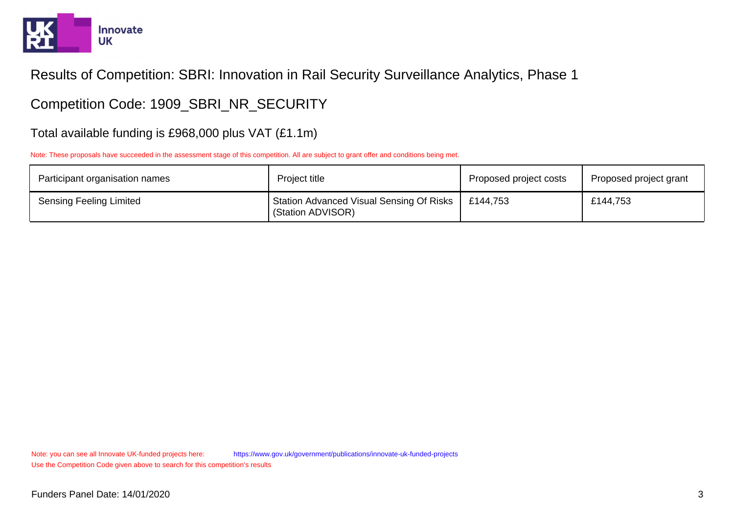

Competition Code: 1909\_SBRI\_NR\_SECURITY

Total available funding is £968,000 plus VAT (£1.1m)

Note: These proposals have succeeded in the assessment stage of this competition. All are subject to grant offer and conditions being met.

| Participant organisation names | Project title                                                        | Proposed project costs | Proposed project grant |
|--------------------------------|----------------------------------------------------------------------|------------------------|------------------------|
| <b>Sensing Feeling Limited</b> | <b>Station Advanced Visual Sensing Of Risks</b><br>(Station ADVISOR) | £144,753               | £144,753               |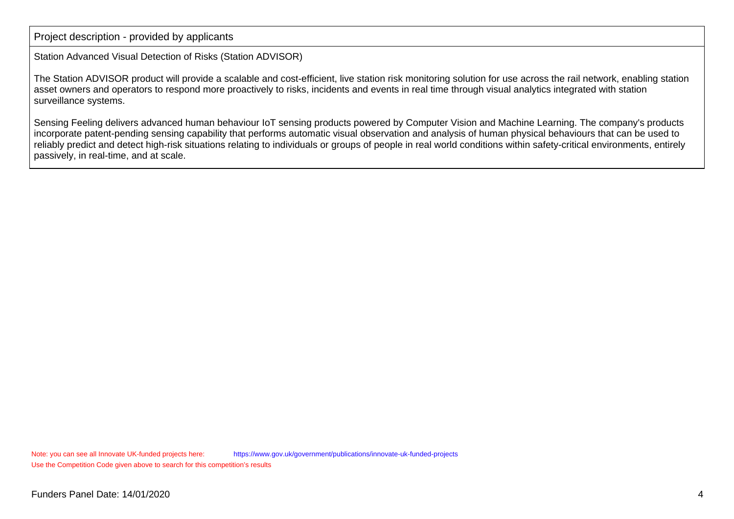Station Advanced Visual Detection of Risks (Station ADVISOR)

The Station ADVISOR product will provide a scalable and cost-efficient, live station risk monitoring solution for use across the rail network, enabling stationasset owners and operators to respond more proactively to risks, incidents and events in real time through visual analytics integrated with stationsurveillance systems.

Sensing Feeling delivers advanced human behaviour IoT sensing products powered by Computer Vision and Machine Learning. The company's products incorporate patent-pending sensing capability that performs automatic visual observation and analysis of human physical behaviours that can be used to reliably predict and detect high-risk situations relating to individuals or groups of people in real world conditions within safety-critical environments, entirelypassively, in real-time, and at scale.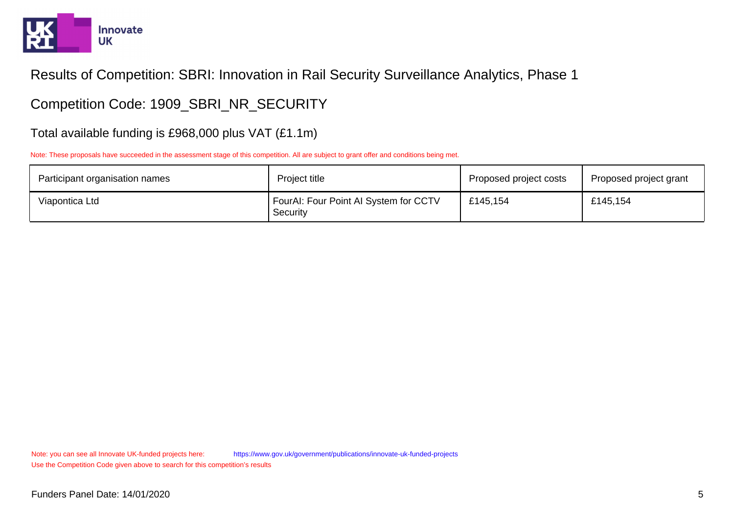

Competition Code: 1909\_SBRI\_NR\_SECURITY

Total available funding is £968,000 plus VAT (£1.1m)

Note: These proposals have succeeded in the assessment stage of this competition. All are subject to grant offer and conditions being met.

| Participant organisation names | Project title                                     | Proposed project costs | Proposed project grant |
|--------------------------------|---------------------------------------------------|------------------------|------------------------|
| Viapontica Ltd                 | FourAI: Four Point AI System for CCTV<br>Security | £145,154               | £145,154               |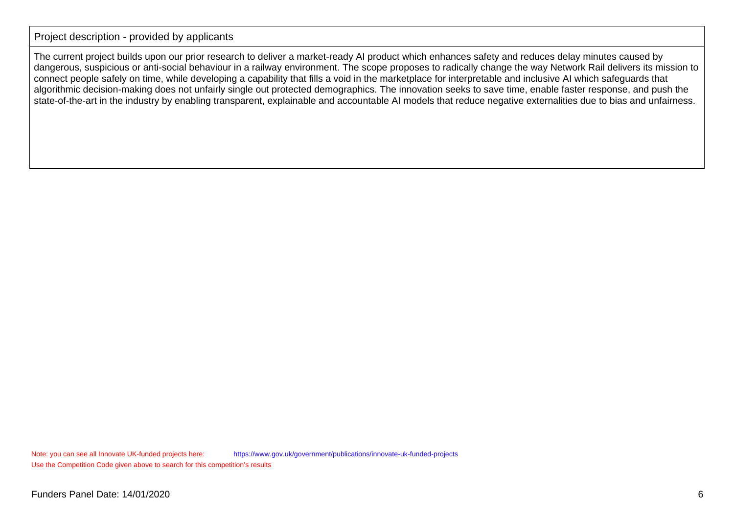The current project builds upon our prior research to deliver a market-ready AI product which enhances safety and reduces delay minutes caused by dangerous, suspicious or anti-social behaviour in a railway environment. The scope proposes to radically change the way Network Rail delivers its mission toconnect people safely on time, while developing a capability that fills a void in the marketplace for interpretable and inclusive AI which safeguards that algorithmic decision-making does not unfairly single out protected demographics. The innovation seeks to save time, enable faster response, and push thestate-of-the-art in the industry by enabling transparent, explainable and accountable AI models that reduce negative externalities due to bias and unfairness.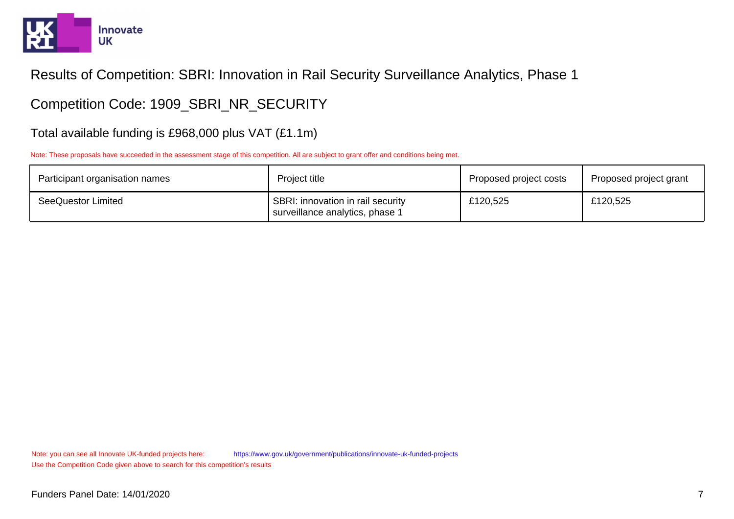

Competition Code: 1909\_SBRI\_NR\_SECURITY

Total available funding is £968,000 plus VAT (£1.1m)

Note: These proposals have succeeded in the assessment stage of this competition. All are subject to grant offer and conditions being met.

| Participant organisation names | Project title                                                        | Proposed project costs | Proposed project grant |
|--------------------------------|----------------------------------------------------------------------|------------------------|------------------------|
| SeeQuestor Limited             | SBRI: innovation in rail security<br>surveillance analytics, phase 1 | £120,525               | £120,525               |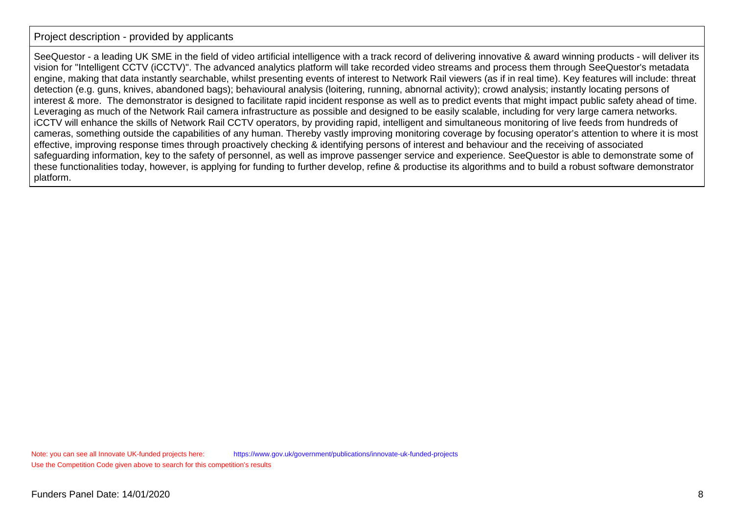SeeQuestor - a leading UK SME in the field of video artificial intelligence with a track record of delivering innovative & award winning products - will deliver its vision for "Intelligent CCTV (iCCTV)". The advanced analytics platform will take recorded video streams and process them through SeeQuestor's metadata engine, making that data instantly searchable, whilst presenting events of interest to Network Rail viewers (as if in real time). Key features will include: threatdetection (e.g. guns, knives, abandoned bags); behavioural analysis (loitering, running, abnornal activity); crowd analysis; instantly locating persons of interest & more. The demonstrator is designed to facilitate rapid incident response as well as to predict events that might impact public safety ahead of time.Leveraging as much of the Network Rail camera infrastructure as possible and designed to be easily scalable, including for very large camera networks. iCCTV will enhance the skills of Network Rail CCTV operators, by providing rapid, intelligent and simultaneous monitoring of live feeds from hundreds of cameras, something outside the capabilities of any human. Thereby vastly improving monitoring coverage by focusing operator's attention to where it is mosteffective, improving response times through proactively checking & identifying persons of interest and behaviour and the receiving of associated safeguarding information, key to the safety of personnel, as well as improve passenger service and experience. SeeQuestor is able to demonstrate some of these functionalities today, however, is applying for funding to further develop, refine & productise its algorithms and to build a robust software demonstratorplatform.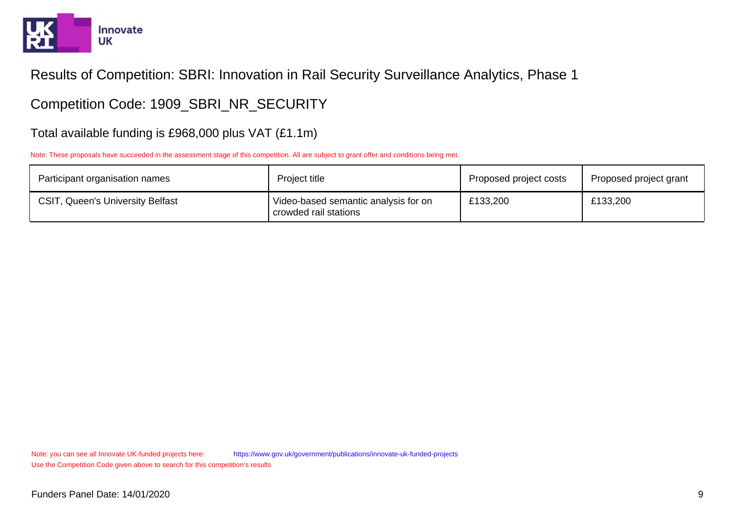

Competition Code: 1909\_SBRI\_NR\_SECURITY

Total available funding is £968,000 plus VAT (£1.1m)

Note: These proposals have succeeded in the assessment stage of this competition. All are subject to grant offer and conditions being met.

| Participant organisation names          | Project title                                                 | Proposed project costs | Proposed project grant |
|-----------------------------------------|---------------------------------------------------------------|------------------------|------------------------|
| <b>CSIT, Queen's University Belfast</b> | Video-based semantic analysis for on<br>crowded rail stations | £133,200               | £133,200               |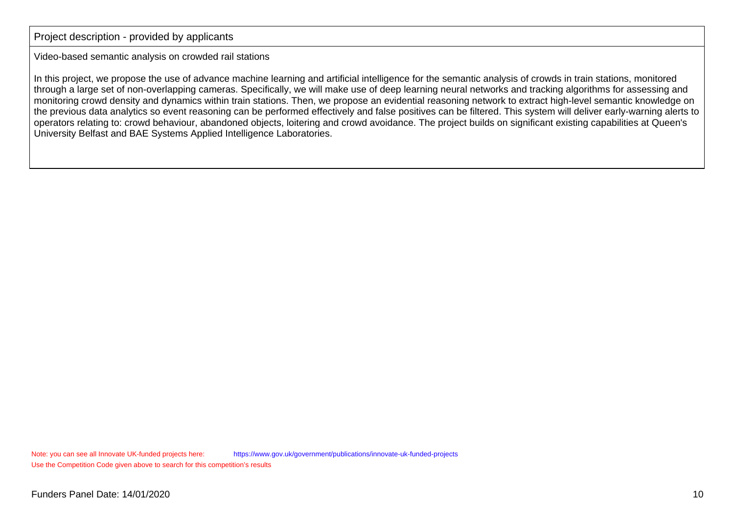Video-based semantic analysis on crowded rail stations

In this project, we propose the use of advance machine learning and artificial intelligence for the semantic analysis of crowds in train stations, monitored through a large set of non-overlapping cameras. Specifically, we will make use of deep learning neural networks and tracking algorithms for assessing and monitoring crowd density and dynamics within train stations. Then, we propose an evidential reasoning network to extract high-level semantic knowledge on the previous data analytics so event reasoning can be performed effectively and false positives can be filtered. This system will deliver early-warning alerts tooperators relating to: crowd behaviour, abandoned objects, loitering and crowd avoidance. The project builds on significant existing capabilities at Queen'sUniversity Belfast and BAE Systems Applied Intelligence Laboratories.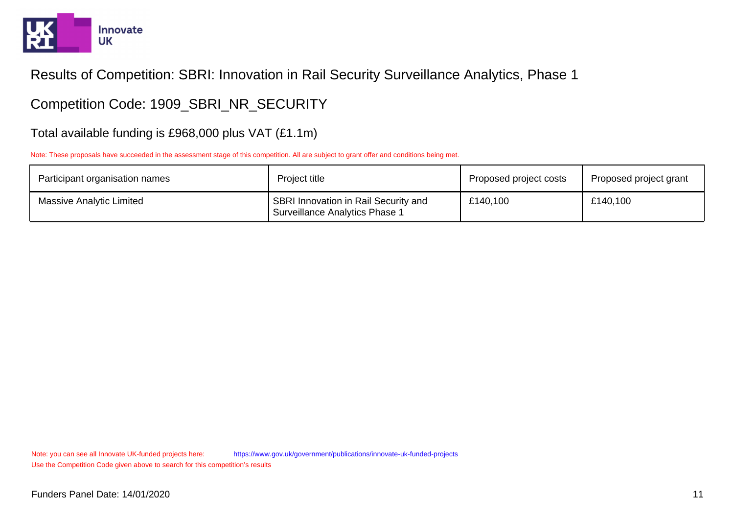

Competition Code: 1909\_SBRI\_NR\_SECURITY

Total available funding is £968,000 plus VAT (£1.1m)

Note: These proposals have succeeded in the assessment stage of this competition. All are subject to grant offer and conditions being met.

| Participant organisation names  | Project title                                                                 | Proposed project costs | Proposed project grant |
|---------------------------------|-------------------------------------------------------------------------------|------------------------|------------------------|
| <b>Massive Analytic Limited</b> | SBRI Innovation in Rail Security and<br><b>Surveillance Analytics Phase 1</b> | £140,100               | £140,100               |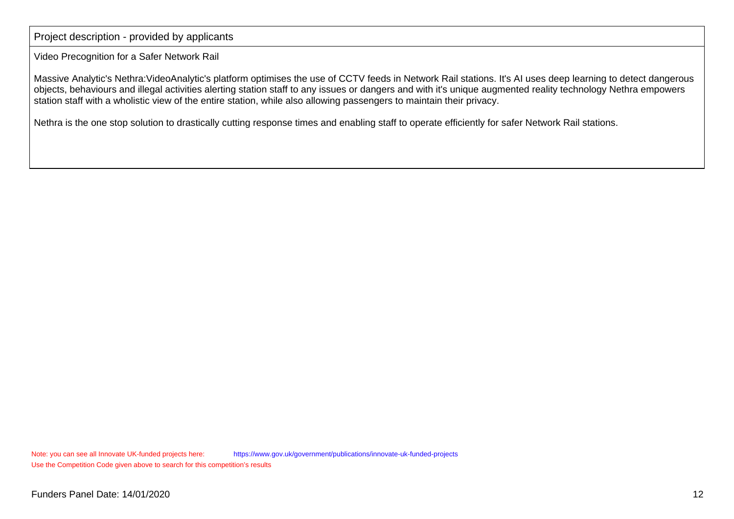Video Precognition for a Safer Network Rail

Massive Analytic's Nethra:VideoAnalytic's platform optimises the use of CCTV feeds in Network Rail stations. It's AI uses deep learning to detect dangerousobjects, behaviours and illegal activities alerting station staff to any issues or dangers and with it's unique augmented reality technology Nethra empowersstation staff with a wholistic view of the entire station, while also allowing passengers to maintain their privacy.

Nethra is the one stop solution to drastically cutting response times and enabling staff to operate efficiently for safer Network Rail stations.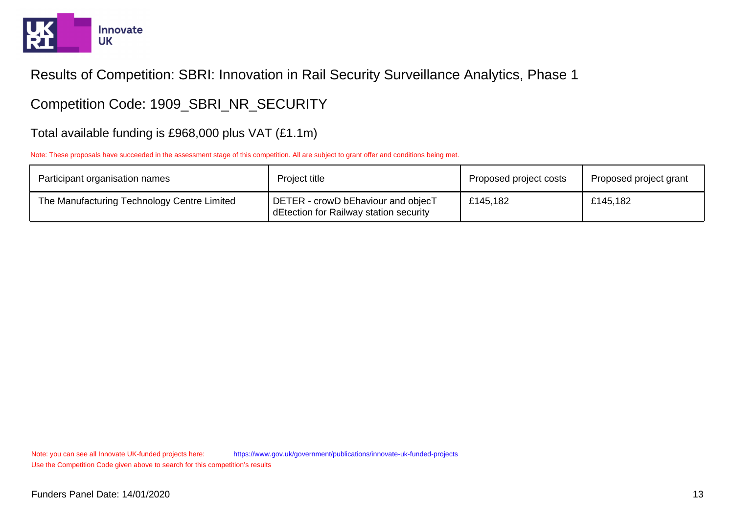

# Competition Code: 1909\_SBRI\_NR\_SECURITY

#### Total available funding is £968,000 plus VAT (£1.1m)

Note: These proposals have succeeded in the assessment stage of this competition. All are subject to grant offer and conditions being met.

| Participant organisation names              | Project title                                                                | Proposed project costs | Proposed project grant |
|---------------------------------------------|------------------------------------------------------------------------------|------------------------|------------------------|
| The Manufacturing Technology Centre Limited | DETER - crowD bEhaviour and objecT<br>dEtection for Railway station security | £145,182               | £145,182               |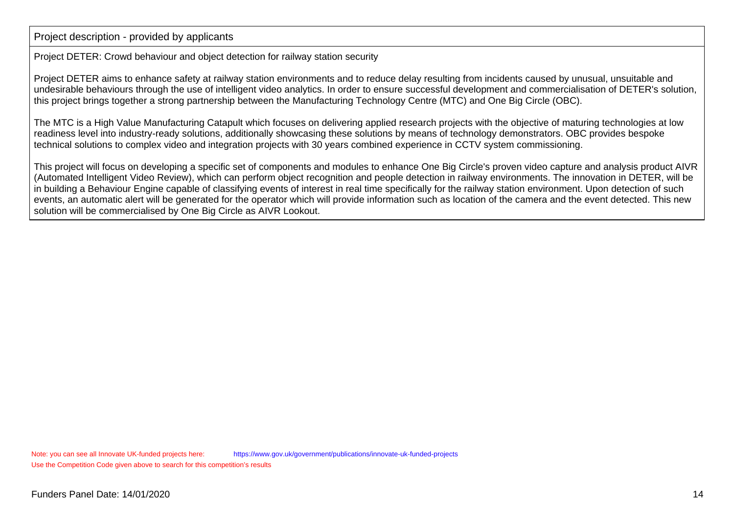Project DETER: Crowd behaviour and object detection for railway station security

Project DETER aims to enhance safety at railway station environments and to reduce delay resulting from incidents caused by unusual, unsuitable and undesirable behaviours through the use of intelligent video analytics. In order to ensure successful development and commercialisation of DETER's solution,this project brings together a strong partnership between the Manufacturing Technology Centre (MTC) and One Big Circle (OBC).

The MTC is a High Value Manufacturing Catapult which focuses on delivering applied research projects with the objective of maturing technologies at lowreadiness level into industry-ready solutions, additionally showcasing these solutions by means of technology demonstrators. OBC provides bespoketechnical solutions to complex video and integration projects with 30 years combined experience in CCTV system commissioning.

This project will focus on developing a specific set of components and modules to enhance One Big Circle's proven video capture and analysis product AIVR (Automated Intelligent Video Review), which can perform object recognition and people detection in railway environments. The innovation in DETER, will bein building a Behaviour Engine capable of classifying events of interest in real time specifically for the railway station environment. Upon detection of such events, an automatic alert will be generated for the operator which will provide information such as location of the camera and the event detected. This newsolution will be commercialised by One Big Circle as AIVR Lookout.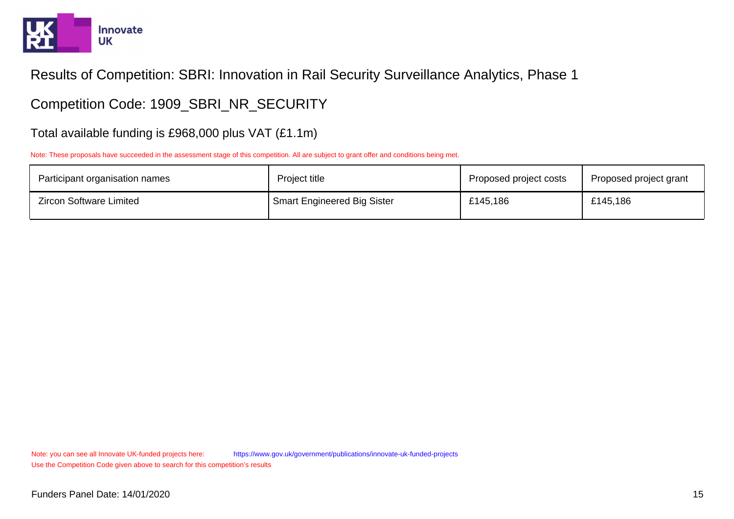

# Competition Code: 1909\_SBRI\_NR\_SECURITY

#### Total available funding is £968,000 plus VAT (£1.1m)

Note: These proposals have succeeded in the assessment stage of this competition. All are subject to grant offer and conditions being met.

| Participant organisation names | Project title                      | Proposed project costs | Proposed project grant |
|--------------------------------|------------------------------------|------------------------|------------------------|
| <b>Zircon Software Limited</b> | <b>Smart Engineered Big Sister</b> | £145,186               | £145,186               |